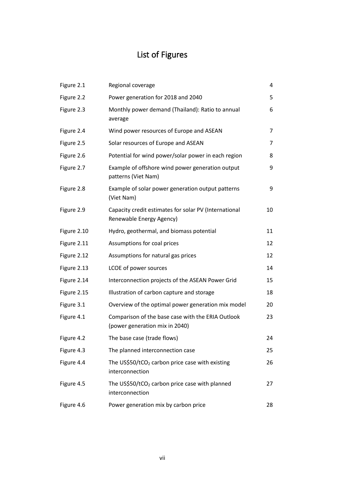## List of Figures

| Figure 2.1  | Regional coverage                                                                   | 4  |
|-------------|-------------------------------------------------------------------------------------|----|
| Figure 2.2  | Power generation for 2018 and 2040                                                  | 5  |
| Figure 2.3  | Monthly power demand (Thailand): Ratio to annual<br>average                         | 6  |
| Figure 2.4  | Wind power resources of Europe and ASEAN                                            | 7  |
| Figure 2.5  | Solar resources of Europe and ASEAN                                                 | 7  |
| Figure 2.6  | Potential for wind power/solar power in each region                                 | 8  |
| Figure 2.7  | Example of offshore wind power generation output<br>patterns (Viet Nam)             | 9  |
| Figure 2.8  | Example of solar power generation output patterns<br>(Viet Nam)                     | 9  |
| Figure 2.9  | Capacity credit estimates for solar PV (International<br>Renewable Energy Agency)   | 10 |
| Figure 2.10 | Hydro, geothermal, and biomass potential                                            | 11 |
| Figure 2.11 | Assumptions for coal prices                                                         | 12 |
| Figure 2.12 | Assumptions for natural gas prices                                                  | 12 |
| Figure 2.13 | LCOE of power sources                                                               | 14 |
| Figure 2.14 | Interconnection projects of the ASEAN Power Grid                                    | 15 |
| Figure 2.15 | Illustration of carbon capture and storage                                          | 18 |
| Figure 3.1  | Overview of the optimal power generation mix model                                  | 20 |
| Figure 4.1  | Comparison of the base case with the ERIA Outlook<br>(power generation mix in 2040) | 23 |
| Figure 4.2  | The base case (trade flows)                                                         | 24 |
| Figure 4.3  | The planned interconnection case                                                    | 25 |
| Figure 4.4  | The US\$50/tCO <sub>2</sub> carbon price case with existing<br>interconnection      | 26 |
| Figure 4.5  | The US\$50/tCO <sub>2</sub> carbon price case with planned<br>interconnection       | 27 |
| Figure 4.6  | Power generation mix by carbon price                                                | 28 |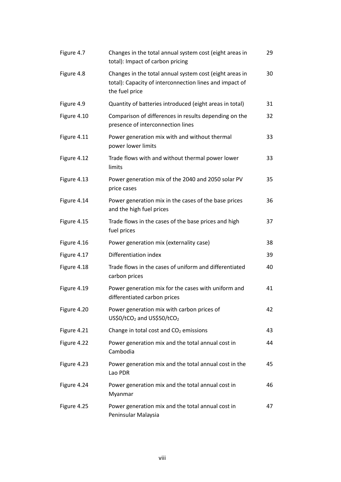| Figure 4.7  | Changes in the total annual system cost (eight areas in<br>total): Impact of carbon pricing                                          | 29 |
|-------------|--------------------------------------------------------------------------------------------------------------------------------------|----|
| Figure 4.8  | Changes in the total annual system cost (eight areas in<br>total): Capacity of interconnection lines and impact of<br>the fuel price | 30 |
| Figure 4.9  | Quantity of batteries introduced (eight areas in total)                                                                              | 31 |
| Figure 4.10 | Comparison of differences in results depending on the<br>presence of interconnection lines                                           | 32 |
| Figure 4.11 | Power generation mix with and without thermal<br>power lower limits                                                                  | 33 |
| Figure 4.12 | Trade flows with and without thermal power lower<br>limits                                                                           | 33 |
| Figure 4.13 | Power generation mix of the 2040 and 2050 solar PV<br>price cases                                                                    | 35 |
| Figure 4.14 | Power generation mix in the cases of the base prices<br>and the high fuel prices                                                     | 36 |
| Figure 4.15 | Trade flows in the cases of the base prices and high<br>fuel prices                                                                  | 37 |
| Figure 4.16 | Power generation mix (externality case)                                                                                              | 38 |
| Figure 4.17 | Differentiation index                                                                                                                | 39 |
| Figure 4.18 | Trade flows in the cases of uniform and differentiated<br>carbon prices                                                              | 40 |
| Figure 4.19 | Power generation mix for the cases with uniform and<br>differentiated carbon prices                                                  | 41 |
| Figure 4.20 | Power generation mix with carbon prices of<br>US\$0/tCO <sub>2</sub> and US\$50/tCO <sub>2</sub>                                     | 42 |
| Figure 4.21 | Change in total cost and CO <sub>2</sub> emissions                                                                                   | 43 |
| Figure 4.22 | Power generation mix and the total annual cost in<br>Cambodia                                                                        | 44 |
| Figure 4.23 | Power generation mix and the total annual cost in the<br>Lao PDR                                                                     | 45 |
| Figure 4.24 | Power generation mix and the total annual cost in<br>Myanmar                                                                         | 46 |
| Figure 4.25 | Power generation mix and the total annual cost in<br>Peninsular Malaysia                                                             | 47 |